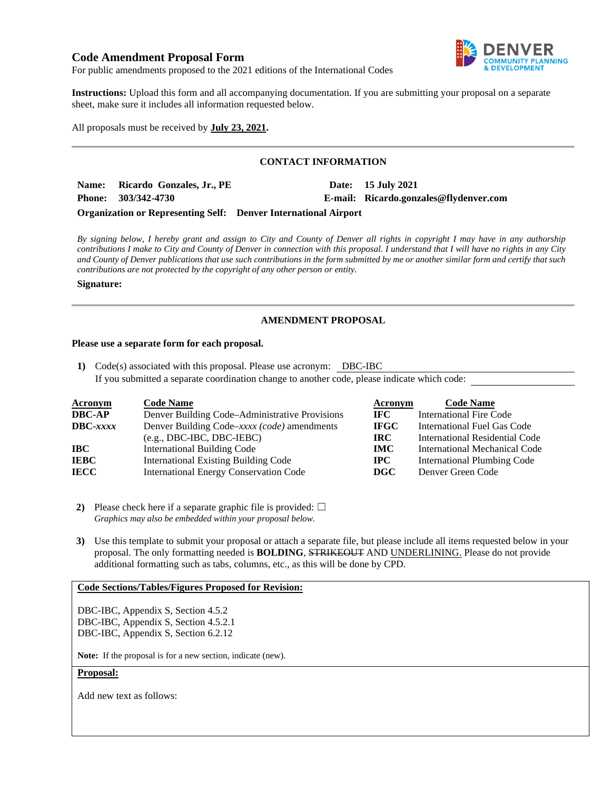# **Code Amendment Proposal Form**



For public amendments proposed to the 2021 editions of the International Codes

**Instructions:** Upload this form and all accompanying documentation. If you are submitting your proposal on a separate sheet, make sure it includes all information requested below.

All proposals must be received by **July 23, 2021.** 

# **CONTACT INFORMATION**

Name: Ricardo Gonzales, Jr., PE **Date: 15 July 2021 Phone: 303/342-4730 E-mail: Ricardo.gonzales@flydenver.com Organization or Representing Self: Denver International Airport** 

*By signing below, I hereby grant and assign to City and County of Denver all rights in copyright I may have in any authorship contributions I make to City and County of Denver in connection with this proposal. I understand that I will have no rights in any City and County of Denver publications that use such contributions in the form submitted by me or another similar form and certify that such contributions are not protected by the copyright of any other person or entity.* 

#### **Signature:**

# **AMENDMENT PROPOSAL**

#### **Please use a separate form for each proposal.**

**1)** Code(s) associated with this proposal. Please use acronym: DBC-IBC If you submitted a separate coordination change to another code, please indicate which code:

| <b>Acronym</b>    | <b>Code Name</b>                               | Acronym     | <b>Code Name</b>                     |
|-------------------|------------------------------------------------|-------------|--------------------------------------|
| <b>DBC-AP</b>     | Denver Building Code–Administrative Provisions | IFC -       | International Fire Code              |
| $\text{DBC}-xxxx$ | Denver Building Code–xxxx (code) amendments    | <b>IFGC</b> | <b>International Fuel Gas Code</b>   |
|                   | $(e.g., DBC-IBC, DBC-IEBC)$                    | IRC.        | International Residential Code       |
| IBC               | International Building Code                    | <b>IMC</b>  | <b>International Mechanical Code</b> |
| <b>IEBC</b>       | <b>International Existing Building Code</b>    | $\bf IPC$   | <b>International Plumbing Code</b>   |
| <b>IECC</b>       | <b>International Energy Conservation Code</b>  | $\bf DGC$   | Denver Green Code                    |

- **2)** Please check here if a separate graphic file is provided:  $\Box$ *Graphics may also be embedded within your proposal below.*
- **3)** Use this template to submit your proposal or attach a separate file, but please include all items requested below in your proposal. The only formatting needed is **BOLDING**, STRIKEOUT AND UNDERLINING. Please do not provide additional formatting such as tabs, columns, etc., as this will be done by CPD.

# **Code Sections/Tables/Figures Proposed for Revision:**

DBC-IBC, Appendix S, Section 4.5.2 DBC-IBC, Appendix S, Section 4.5.2.1 DBC-IBC, Appendix S, Section 6.2.12

**Note:** If the proposal is for a new section, indicate (new).

#### **Proposal:**

Add new text as follows: